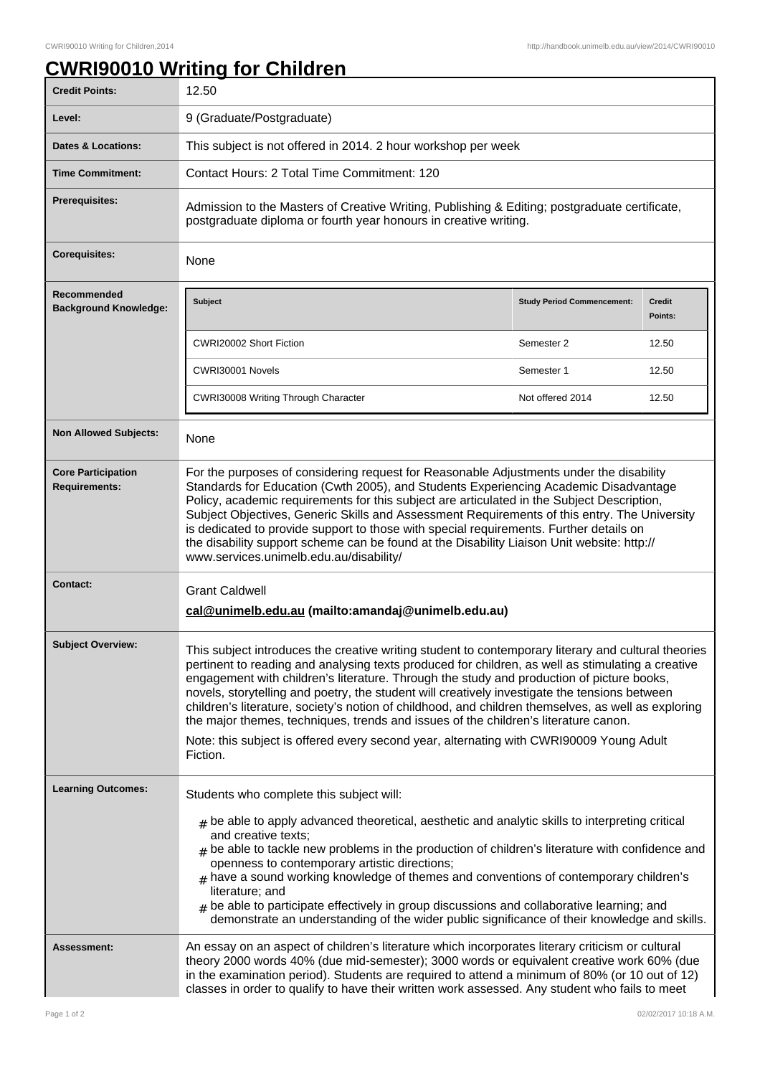## **CWRI90010 Writing for Children**

| <b>Credit Points:</b>                             | 12.50                                                                                                                                                                                                                                                                                                                                                                                                                                                                                                                                                                                                                                                                                                       |                                   |                   |
|---------------------------------------------------|-------------------------------------------------------------------------------------------------------------------------------------------------------------------------------------------------------------------------------------------------------------------------------------------------------------------------------------------------------------------------------------------------------------------------------------------------------------------------------------------------------------------------------------------------------------------------------------------------------------------------------------------------------------------------------------------------------------|-----------------------------------|-------------------|
| Level:                                            | 9 (Graduate/Postgraduate)                                                                                                                                                                                                                                                                                                                                                                                                                                                                                                                                                                                                                                                                                   |                                   |                   |
| <b>Dates &amp; Locations:</b>                     | This subject is not offered in 2014. 2 hour workshop per week                                                                                                                                                                                                                                                                                                                                                                                                                                                                                                                                                                                                                                               |                                   |                   |
| <b>Time Commitment:</b>                           | Contact Hours: 2 Total Time Commitment: 120                                                                                                                                                                                                                                                                                                                                                                                                                                                                                                                                                                                                                                                                 |                                   |                   |
| <b>Prerequisites:</b>                             | Admission to the Masters of Creative Writing, Publishing & Editing; postgraduate certificate,<br>postgraduate diploma or fourth year honours in creative writing.                                                                                                                                                                                                                                                                                                                                                                                                                                                                                                                                           |                                   |                   |
| <b>Corequisites:</b>                              | None                                                                                                                                                                                                                                                                                                                                                                                                                                                                                                                                                                                                                                                                                                        |                                   |                   |
| Recommended<br><b>Background Knowledge:</b>       | <b>Subject</b>                                                                                                                                                                                                                                                                                                                                                                                                                                                                                                                                                                                                                                                                                              | <b>Study Period Commencement:</b> | Credit<br>Points: |
|                                                   | CWRI20002 Short Fiction                                                                                                                                                                                                                                                                                                                                                                                                                                                                                                                                                                                                                                                                                     | Semester 2                        | 12.50             |
|                                                   | CWRI30001 Novels                                                                                                                                                                                                                                                                                                                                                                                                                                                                                                                                                                                                                                                                                            | Semester 1                        | 12.50             |
|                                                   | CWRI30008 Writing Through Character                                                                                                                                                                                                                                                                                                                                                                                                                                                                                                                                                                                                                                                                         | Not offered 2014                  | 12.50             |
| <b>Non Allowed Subjects:</b>                      | None                                                                                                                                                                                                                                                                                                                                                                                                                                                                                                                                                                                                                                                                                                        |                                   |                   |
| <b>Core Participation</b><br><b>Requirements:</b> | For the purposes of considering request for Reasonable Adjustments under the disability<br>Standards for Education (Cwth 2005), and Students Experiencing Academic Disadvantage<br>Policy, academic requirements for this subject are articulated in the Subject Description,<br>Subject Objectives, Generic Skills and Assessment Requirements of this entry. The University<br>is dedicated to provide support to those with special requirements. Further details on<br>the disability support scheme can be found at the Disability Liaison Unit website: http://<br>www.services.unimelb.edu.au/disability/                                                                                            |                                   |                   |
| <b>Contact:</b>                                   | <b>Grant Caldwell</b><br>cal@unimelb.edu.au (mailto:amandaj@unimelb.edu.au)                                                                                                                                                                                                                                                                                                                                                                                                                                                                                                                                                                                                                                 |                                   |                   |
| <b>Subject Overview:</b>                          | This subject introduces the creative writing student to contemporary literary and cultural theories<br>pertinent to reading and analysing texts produced for children, as well as stimulating a creative<br>engagement with children's literature. Through the study and production of picture books,<br>novels, storytelling and poetry, the student will creatively investigate the tensions between<br>children's literature, society's notion of childhood, and children themselves, as well as exploring<br>the major themes, techniques, trends and issues of the children's literature canon.<br>Note: this subject is offered every second year, alternating with CWRI90009 Young Adult<br>Fiction. |                                   |                   |
| <b>Learning Outcomes:</b>                         | Students who complete this subject will:                                                                                                                                                                                                                                                                                                                                                                                                                                                                                                                                                                                                                                                                    |                                   |                   |
|                                                   | $_{\#}$ be able to apply advanced theoretical, aesthetic and analytic skills to interpreting critical<br>and creative texts;<br>$_{\text{\#}}$ be able to tackle new problems in the production of children's literature with confidence and<br>openness to contemporary artistic directions;<br>$#$ have a sound working knowledge of themes and conventions of contemporary children's<br>literature; and<br>be able to participate effectively in group discussions and collaborative learning; and<br>#<br>demonstrate an understanding of the wider public significance of their knowledge and skills.                                                                                                 |                                   |                   |
| Assessment:                                       | An essay on an aspect of children's literature which incorporates literary criticism or cultural<br>theory 2000 words 40% (due mid-semester); 3000 words or equivalent creative work 60% (due<br>in the examination period). Students are required to attend a minimum of 80% (or 10 out of 12)<br>classes in order to qualify to have their written work assessed. Any student who fails to meet                                                                                                                                                                                                                                                                                                           |                                   |                   |